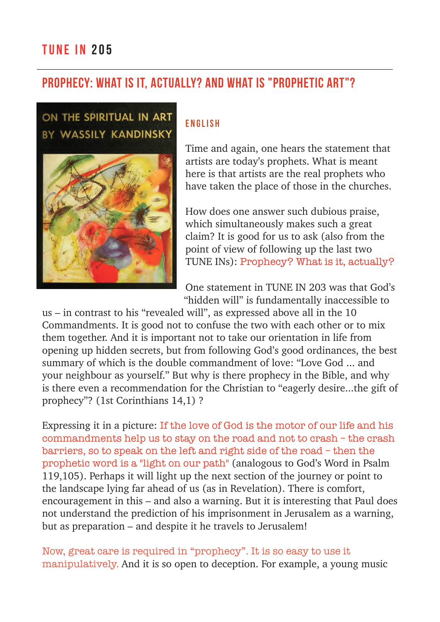## Prophecy: What is it, actually? And what is "prophetic art"?

## ON THE SPIRITUAL IN ART BY WASSILY KANDINSKY



#### ENGLISH

Time and again, one hears the statement that artists are today's prophets. What is meant here is that artists are the real prophets who have taken the place of those in the churches.

How does one answer such dubious praise, which simultaneously makes such a great claim? It is good for us to ask (also from the point of view of following up the last two TUNE INs): Prophecy? What is it, actually?

One statement in TUNE IN 203 was that God's "hidden will" is fundamentally inaccessible to

us – in contrast to his "revealed will", as expressed above all in the 10 Commandments. It is good not to confuse the two with each other or to mix them together. And it is important not to take our orientation in life from opening up hidden secrets, but from following God's good ordinances, the best summary of which is the double commandment of love: "Love God ... and your neighbour as yourself." But why is there prophecy in the Bible, and why is there even a recommendation for the Christian to "eagerly desire...the gift of prophecy"? (1st Corinthians 14,1) ?

Expressing it in a picture: If the love of God is the motor of our life and his commandments help us to stay on the road and not to crash – the crash barriers, so to speak on the left and right side of the road – then the prophetic word is a "light on our path" (analogous to God's Word in Psalm 119,105). Perhaps it will light up the next section of the journey or point to the landscape lying far ahead of us (as in Revelation). There is comfort, encouragement in this – and also a warning. But it is interesting that Paul does not understand the prediction of his imprisonment in Jerusalem as a warning, but as preparation – and despite it he travels to Jerusalem!

Now, great care is required in "prophecy". It is so easy to use it manipulatively. And it is so open to deception. For example, a young music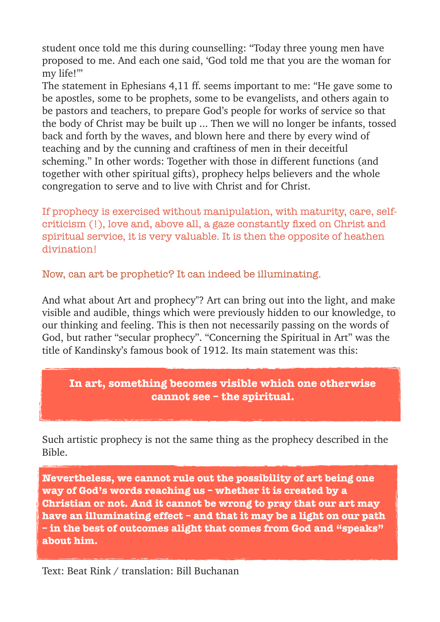student once told me this during counselling: "Today three young men have proposed to me. And each one said, 'God told me that you are the woman for my life!'"

The statement in Ephesians 4,11 ff. seems important to me: "He gave some to be apostles, some to be prophets, some to be evangelists, and others again to be pastors and teachers, to prepare God's people for works of service so that the body of Christ may be built up ... Then we will no longer be infants, tossed back and forth by the waves, and blown here and there by every wind of teaching and by the cunning and craftiness of men in their deceitful scheming." In other words: Together with those in different functions (and together with other spiritual gifts), prophecy helps believers and the whole congregation to serve and to live with Christ and for Christ.

If prophecy is exercised without manipulation, with maturity, care, selfcriticism (!), love and, above all, a gaze constantly fixed on Christ and spiritual service, it is very valuable. It is then the opposite of heathen divination!

Now, can art be prophetic? It can indeed be illuminating.

And what about Art and prophecy"? Art can bring out into the light, and make visible and audible, things which were previously hidden to our knowledge, to our thinking and feeling. This is then not necessarily passing on the words of God, but rather "secular prophecy". "Concerning the Spiritual in Art" was the title of Kandinsky's famous book of 1912. Its main statement was this:

#### **In art, something becomes visible which one otherwise cannot see – the spiritual.**

Such artistic prophecy is not the same thing as the prophecy described in the Bible.

**Nevertheless, we cannot rule out the possibility of art being one way of God's words reaching us – whether it is created by a Christian or not. And it cannot be wrong to pray that our art may have an illuminating effect – and that it may be a light on our path – in the best of outcomes alight that comes from God and "speaks" about him.** 

Text: Beat Rink / translation: Bill Buchanan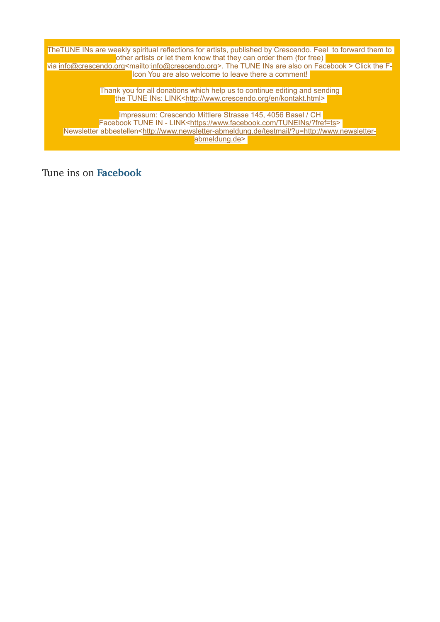TheTUNE INs are weekly spiritual reflections for artists, published by Crescendo. Feel to forward them to other artists or let them know that they can order them (for free) via <u>[info@crescendo.org](mailto:info@crescendo.org)</u><mailto:<u>info@crescendo.org</u>>. The TUNE INs are also on Facebook > Click the F-Icon You are also welcome to leave there a comment!

> Thank you for all donations which help us to continue editing and sending the TUNE INs: LINK[<http://www.crescendo.org/en/kontakt.html>](http://www.crescendo.org/en/kontakt.html)

Impressum: Crescendo Mittlere Strasse 145, 4056 Basel / CH Facebook TUNE IN - LINK<<https://www.facebook.com/TUNEINs/?fref=ts>> Newsletter abbestellen[<http://www.newsletter-abmeldung.de/testmail/?u=http://www.newsletter](http://www.newsletter-abmeldung.de/testmail/?u=http://www.newsletter-abmeldung.de)[abmeldung.de](http://www.newsletter-abmeldung.de/testmail/?u=http://www.newsletter-abmeldung.de)>

Tune ins on **[Facebook](https://www.facebook.com/TUNEINs/?fref=ts)**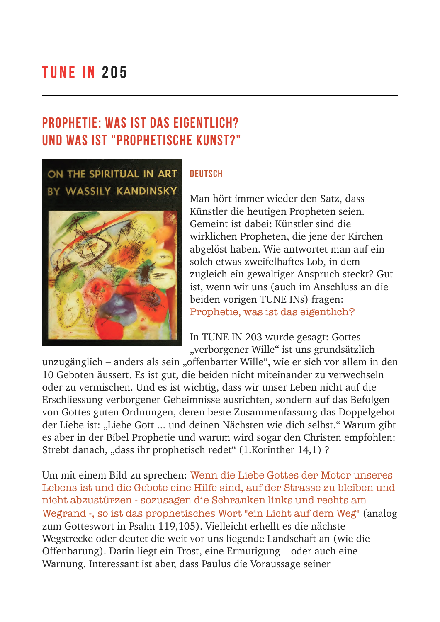# TUNE IN 205

# Prophetie: Was ist das eigentlich? Und was ist "prophetische Kunst?"



#### **DEUTSCH**

Man hört immer wieder den Satz, dass Künstler die heutigen Propheten seien. Gemeint ist dabei: Künstler sind die wirklichen Propheten, die jene der Kirchen abgelöst haben. Wie antwortet man auf ein solch etwas zweifelhaftes Lob, in dem zugleich ein gewaltiger Anspruch steckt? Gut ist, wenn wir uns (auch im Anschluss an die beiden vorigen TUNE INs) fragen: Prophetie, was ist das eigentlich?

In TUNE IN 203 wurde gesagt: Gottes "verborgener Wille" ist uns grundsätzlich

unzugänglich – anders als sein "offenbarter Wille", wie er sich vor allem in den 10 Geboten äussert. Es ist gut, die beiden nicht miteinander zu verwechseln oder zu vermischen. Und es ist wichtig, dass wir unser Leben nicht auf die Erschliessung verborgener Geheimnisse ausrichten, sondern auf das Befolgen von Gottes guten Ordnungen, deren beste Zusammenfassung das Doppelgebot der Liebe ist: "Liebe Gott ... und deinen Nächsten wie dich selbst." Warum gibt es aber in der Bibel Prophetie und warum wird sogar den Christen empfohlen: Strebt danach, "dass ihr prophetisch redet" (1.Korinther 14,1)?

Um mit einem Bild zu sprechen: Wenn die Liebe Gottes der Motor unseres Lebens ist und die Gebote eine Hilfe sind, auf der Strasse zu bleiben und nicht abzustürzen - sozusagen die Schranken links und rechts am Wegrand -, so ist das prophetisches Wort "ein Licht auf dem Weg" (analog zum Gotteswort in Psalm 119,105). Vielleicht erhellt es die nächste Wegstrecke oder deutet die weit vor uns liegende Landschaft an (wie die Offenbarung). Darin liegt ein Trost, eine Ermutigung – oder auch eine Warnung. Interessant ist aber, dass Paulus die Voraussage seiner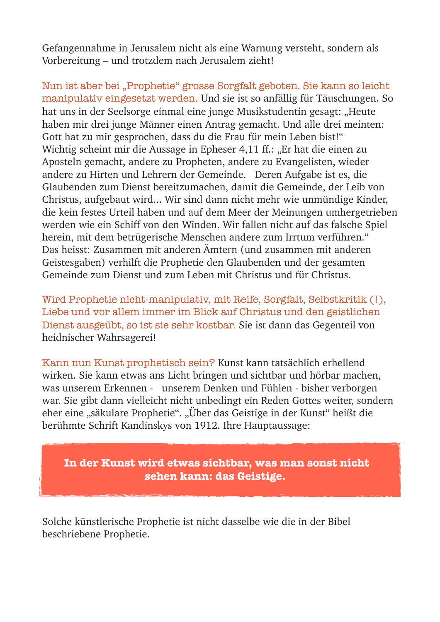Gefangennahme in Jerusalem nicht als eine Warnung versteht, sondern als Vorbereitung – und trotzdem nach Jerusalem zieht!

Nun ist aber bei "Prophetie" grosse Sorgfalt geboten. Sie kann so leicht manipulativ eingesetzt werden. Und sie ist so anfällig für Täuschungen. So hat uns in der Seelsorge einmal eine junge Musikstudentin gesagt: "Heute haben mir drei junge Männer einen Antrag gemacht. Und alle drei meinten: Gott hat zu mir gesprochen, dass du die Frau für mein Leben bist!" Wichtig scheint mir die Aussage in Epheser 4,11 ff.: "Er hat die einen zu Aposteln gemacht, andere zu Propheten, andere zu Evangelisten, wieder andere zu Hirten und Lehrern der Gemeinde. Deren Aufgabe ist es, die Glaubenden zum Dienst bereitzumachen, damit die Gemeinde, der Leib von Christus, aufgebaut wird... Wir sind dann nicht mehr wie unmündige Kinder, die kein festes Urteil haben und auf dem Meer der Meinungen umhergetrieben werden wie ein Schiff von den Winden. Wir fallen nicht auf das falsche Spiel herein, mit dem betrügerische Menschen andere zum Irrtum verführen." Das heisst: Zusammen mit anderen Ämtern (und zusammen mit anderen Geistesgaben) verhilft die Prophetie den Glaubenden und der gesamten Gemeinde zum Dienst und zum Leben mit Christus und für Christus.

Wird Prophetie nicht-manipulativ, mit Reife, Sorgfalt, Selbstkritik (!), Liebe und vor allem immer im Blick auf Christus und den geistlichen Dienst ausgeübt, so ist sie sehr kostbar. Sie ist dann das Gegenteil von heidnischer Wahrsagerei!

Kann nun Kunst prophetisch sein? Kunst kann tatsächlich erhellend wirken. Sie kann etwas ans Licht bringen und sichtbar und hörbar machen, was unserem Erkennen - unserem Denken und Fühlen - bisher verborgen war. Sie gibt dann vielleicht nicht unbedingt ein Reden Gottes weiter, sondern eher eine "säkulare Prophetie". "Über das Geistige in der Kunst" heißt die berühmte Schrift Kandinskys von 1912. Ihre Hauptaussage:

 **In der Kunst wird etwas sichtbar, was man sonst nicht sehen kann: das Geistige.**

Solche künstlerische Prophetie ist nicht dasselbe wie die in der Bibel beschriebene Prophetie.